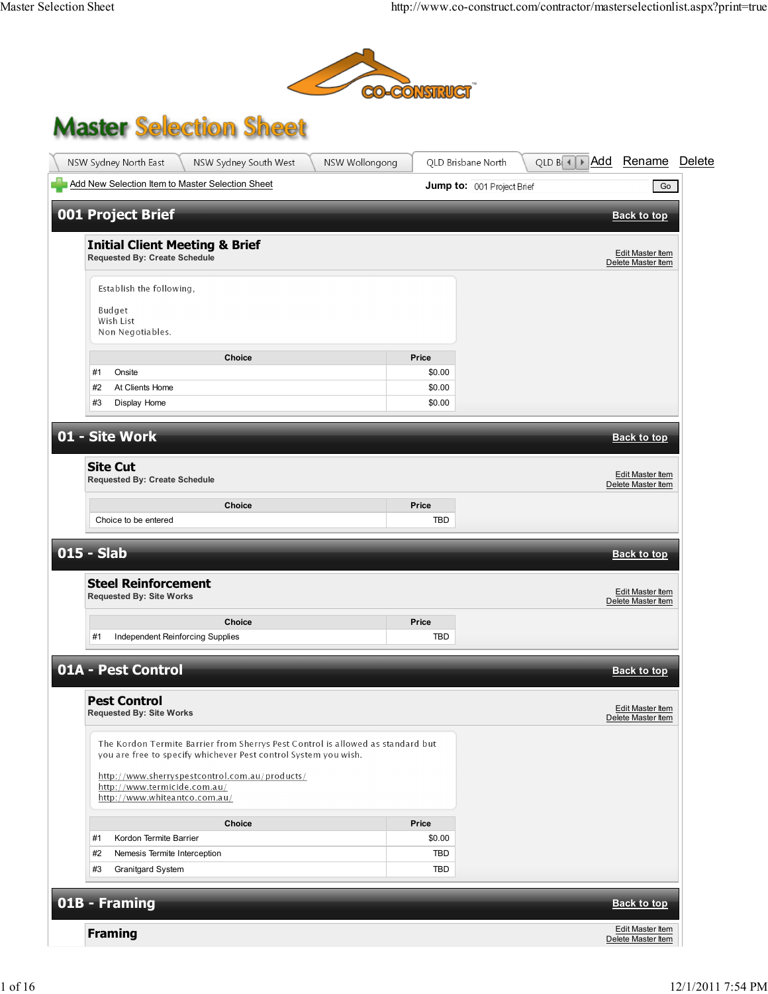

## **Master Selection Sheet**

| NSW Sydney North East<br>NSW Sydney South West<br>NSW Wollongong                                                                                   |            | QLD Brisbane North         | QLD $B \rightarrow A$ dd | Rename                                 | Delete |
|----------------------------------------------------------------------------------------------------------------------------------------------------|------------|----------------------------|--------------------------|----------------------------------------|--------|
| Add New Selection Item to Master Selection Sheet                                                                                                   |            | Jump to: 001 Project Brief |                          | Go                                     |        |
| <b>001 Project Brief</b>                                                                                                                           |            |                            |                          | <b>Back to top</b>                     |        |
|                                                                                                                                                    |            |                            |                          |                                        |        |
| <b>Initial Client Meeting &amp; Brief</b><br><b>Requested By: Create Schedule</b>                                                                  |            |                            |                          | Edit Master Item<br>Delete Master Item |        |
| Establish the following,                                                                                                                           |            |                            |                          |                                        |        |
|                                                                                                                                                    |            |                            |                          |                                        |        |
| Budget<br>Wish List                                                                                                                                |            |                            |                          |                                        |        |
| Non Negotiables.                                                                                                                                   |            |                            |                          |                                        |        |
| Choice                                                                                                                                             | Price      |                            |                          |                                        |        |
| #1<br>Onsite                                                                                                                                       | \$0.00     |                            |                          |                                        |        |
| #2<br>At Clients Home                                                                                                                              | \$0.00     |                            |                          |                                        |        |
| Display Home<br>#3                                                                                                                                 | \$0.00     |                            |                          |                                        |        |
| 01 - Site Work                                                                                                                                     |            |                            |                          | <b>Back to top</b>                     |        |
|                                                                                                                                                    |            |                            |                          |                                        |        |
| <b>Site Cut</b><br><b>Requested By: Create Schedule</b>                                                                                            |            |                            |                          | Edit Master Item                       |        |
|                                                                                                                                                    |            |                            |                          | Delete Master Item                     |        |
| Choice                                                                                                                                             | Price      |                            |                          |                                        |        |
| Choice to be entered                                                                                                                               | <b>TBD</b> |                            |                          |                                        |        |
| 015 - Slab                                                                                                                                         |            |                            |                          | <b>Back to top</b>                     |        |
| <b>Steel Reinforcement</b><br><b>Requested By: Site Works</b>                                                                                      |            |                            |                          | Edit Master Item<br>Delete Master Item |        |
| Choice                                                                                                                                             | Price      |                            |                          |                                        |        |
| #1<br>Independent Reinforcing Supplies                                                                                                             | <b>TBD</b> |                            |                          |                                        |        |
| 01A - Pest Control                                                                                                                                 |            |                            |                          | <b>Back to top</b>                     |        |
|                                                                                                                                                    |            |                            |                          |                                        |        |
| <b>Pest Control</b><br><b>Requested By: Site Works</b>                                                                                             |            |                            |                          | Edit Master Item<br>Delete Master Item |        |
| The Kordon Termite Barrier from Sherrys Pest Control is allowed as standard but<br>you are free to specify whichever Pest control System you wish. |            |                            |                          |                                        |        |
| http://www.sherryspestcontrol.com.au/products/                                                                                                     |            |                            |                          |                                        |        |
| http://www.termicide.com.au/<br>http://www.whiteantco.com.au/                                                                                      |            |                            |                          |                                        |        |
| <b>Choice</b>                                                                                                                                      | Price      |                            |                          |                                        |        |
| #1<br>Kordon Termite Barrier                                                                                                                       | \$0.00     |                            |                          |                                        |        |
| #2<br>Nemesis Termite Interception                                                                                                                 | <b>TBD</b> |                            |                          |                                        |        |
| Granitgard System<br>#3                                                                                                                            | <b>TBD</b> |                            |                          |                                        |        |
| 01B - Framing                                                                                                                                      |            |                            |                          | <b>Back to top</b>                     |        |
| <b>Framing</b>                                                                                                                                     |            |                            |                          | Edit Master Item<br>Delete Master Item |        |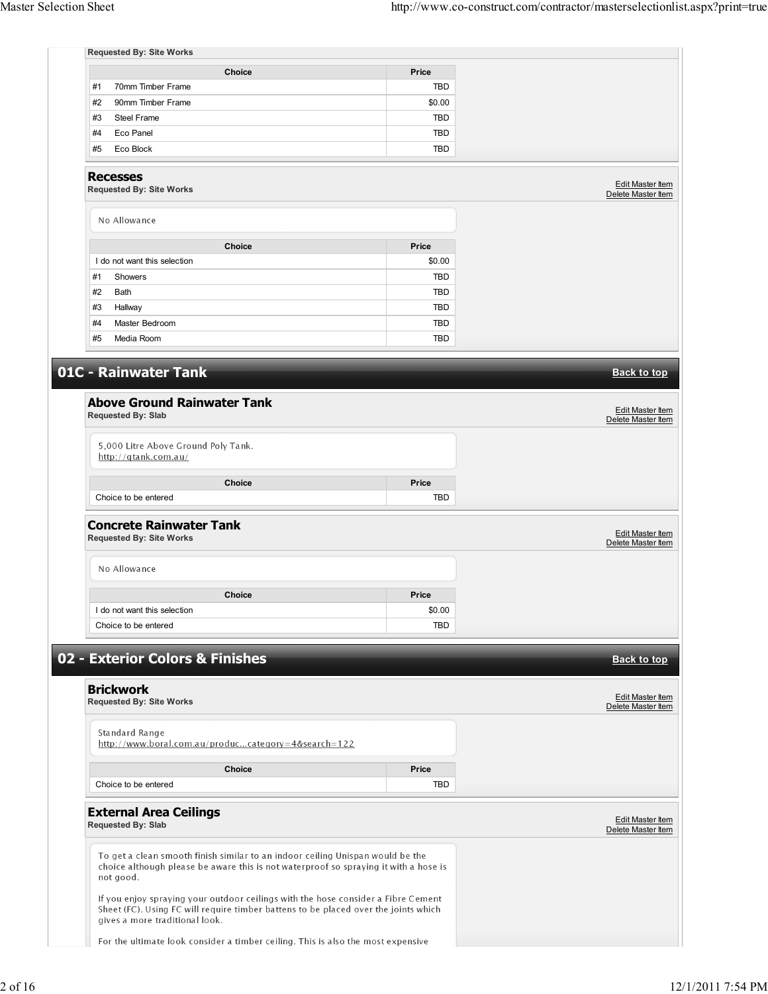| <b>Requested By: Site Works</b>                                                                                                                                                                            |            |                                               |
|------------------------------------------------------------------------------------------------------------------------------------------------------------------------------------------------------------|------------|-----------------------------------------------|
| <b>Choice</b>                                                                                                                                                                                              | Price      |                                               |
| 70mm Timber Frame<br>#1                                                                                                                                                                                    | <b>TBD</b> |                                               |
| #2<br>90mm Timber Frame                                                                                                                                                                                    | \$0.00     |                                               |
| #3<br><b>Steel Frame</b>                                                                                                                                                                                   | <b>TBD</b> |                                               |
| #4<br>Eco Panel                                                                                                                                                                                            | TBD        |                                               |
| #5<br>Eco Block                                                                                                                                                                                            | <b>TBD</b> |                                               |
| <b>Recesses</b><br><b>Requested By: Site Works</b>                                                                                                                                                         |            | Edit Master Item<br>Delete Master Item        |
| No Allowance                                                                                                                                                                                               |            |                                               |
| Choice                                                                                                                                                                                                     | Price      |                                               |
| I do not want this selection                                                                                                                                                                               | \$0.00     |                                               |
| #1<br>Showers                                                                                                                                                                                              | TBD        |                                               |
| #2<br>Bath                                                                                                                                                                                                 | <b>TBD</b> |                                               |
| #3<br>Hallway                                                                                                                                                                                              | <b>TBD</b> |                                               |
| #4<br>Master Bedroom                                                                                                                                                                                       | <b>TBD</b> |                                               |
| #5<br>Media Room                                                                                                                                                                                           | TBD        |                                               |
|                                                                                                                                                                                                            |            |                                               |
| 01C - Rainwater Tank                                                                                                                                                                                       |            | <b>Back to top</b>                            |
| <b>Above Ground Rainwater Tank</b>                                                                                                                                                                         |            |                                               |
| <b>Requested By: Slab</b>                                                                                                                                                                                  |            | Edit Master Item                              |
|                                                                                                                                                                                                            |            | Delete Master Item                            |
| 5,000 Litre Above Ground Poly Tank.                                                                                                                                                                        |            |                                               |
| http://qtank.com.au/                                                                                                                                                                                       |            |                                               |
| <b>Choice</b>                                                                                                                                                                                              | Price      |                                               |
| Choice to be entered                                                                                                                                                                                       | <b>TBD</b> |                                               |
|                                                                                                                                                                                                            |            |                                               |
| <b>Concrete Rainwater Tank</b><br><b>Requested By: Site Works</b>                                                                                                                                          |            | Edit Master Item<br>Delete Master Item        |
| No Allowance                                                                                                                                                                                               |            |                                               |
| Choice                                                                                                                                                                                                     | Price      |                                               |
| I do not want this selection                                                                                                                                                                               | \$0.00     |                                               |
| Choice to be entered                                                                                                                                                                                       | TBD        |                                               |
|                                                                                                                                                                                                            |            |                                               |
| 02 - Exterior Colors & Finishes                                                                                                                                                                            |            | <b>Back to top</b>                            |
|                                                                                                                                                                                                            |            |                                               |
| <b>Brickwork</b>                                                                                                                                                                                           |            | Edit Master Item                              |
| <b>Requested By: Site Works</b>                                                                                                                                                                            |            | Delete Master Item                            |
| Standard Range                                                                                                                                                                                             |            |                                               |
| http://www.boral.com.au/produccategory=4&search=122                                                                                                                                                        |            |                                               |
|                                                                                                                                                                                                            |            |                                               |
| Choice                                                                                                                                                                                                     | Price      |                                               |
| Choice to be entered                                                                                                                                                                                       | <b>TBD</b> |                                               |
| <b>External Area Ceilings</b><br><b>Requested By: Slab</b>                                                                                                                                                 |            | <b>Edit Master Item</b><br>Delete Master Item |
| To get a clean smooth finish similar to an indoor ceiling Unispan would be the<br>choice although please be aware this is not waterproof so spraying it with a hose is<br>not good.                        |            |                                               |
|                                                                                                                                                                                                            |            |                                               |
| If you enjoy spraying your outdoor ceilings with the hose consider a Fibre Cement<br>Sheet (FC). Using FC will require timber battens to be placed over the joints which<br>gives a more traditional look. |            |                                               |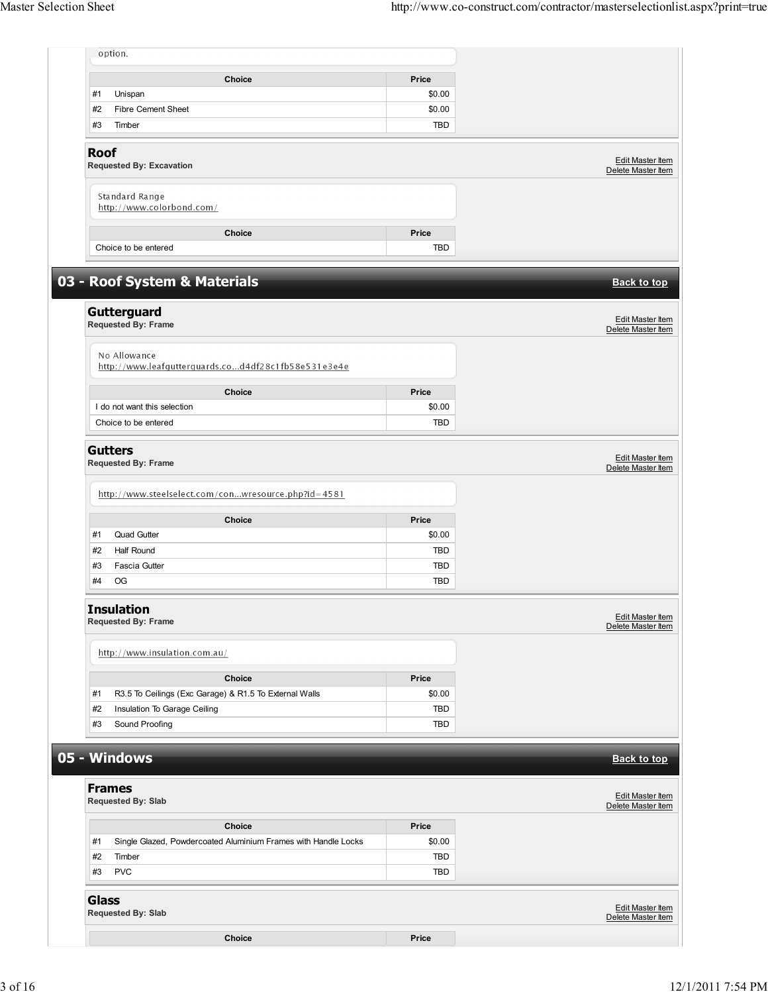| option.                                                              |                     |                                               |
|----------------------------------------------------------------------|---------------------|-----------------------------------------------|
| Choice                                                               | Price               |                                               |
| Unispan<br>#1                                                        | \$0.00              |                                               |
| <b>Fibre Cement Sheet</b><br>#2                                      | \$0.00              |                                               |
| #3<br>Timber                                                         | <b>TBD</b>          |                                               |
| <b>Roof</b><br><b>Requested By: Excavation</b>                       |                     | <b>Edit Master Item</b><br>Delete Master Item |
| Standard Range<br>http://www.colorbond.com/                          |                     |                                               |
|                                                                      |                     |                                               |
| Choice<br>Choice to be entered                                       | Price<br><b>TBD</b> |                                               |
| 03 - Roof System & Materials                                         |                     | <b>Back to top</b>                            |
| Gutterguard                                                          |                     | Edit Master Item                              |
| Requested By: Frame                                                  |                     | Delete Master Item                            |
| No Allowance<br>http://www.leafgutterguards.cod4df28c1fb58e531e3e4e  |                     |                                               |
| <b>Choice</b>                                                        | Price               |                                               |
| I do not want this selection                                         | \$0.00              |                                               |
| Choice to be entered                                                 | TBD                 |                                               |
| http://www.steelselect.com/conwresource.php?id=4581<br><b>Choice</b> | Price               |                                               |
| <b>Quad Gutter</b><br>#1                                             | \$0.00              |                                               |
| #2<br><b>Half Round</b>                                              | <b>TBD</b>          |                                               |
| #3<br><b>Fascia Gutter</b>                                           | <b>TBD</b>          |                                               |
| #4<br>OG                                                             | TBD                 |                                               |
| <b>Insulation</b><br><b>Requested By: Frame</b>                      |                     | <b>Edit Master Item</b><br>Delete Master Item |
| http://www.insulation.com.au/                                        |                     |                                               |
| Choice                                                               | Price               |                                               |
| R3.5 To Ceilings (Exc Garage) & R1.5 To External Walls<br>#1         | \$0.00              |                                               |
| Insulation To Garage Ceiling<br>#2                                   | TBD                 |                                               |
| #3<br>Sound Proofing                                                 | TBD                 |                                               |
| 05 - Windows                                                         |                     | <b>Back to top</b>                            |
| <b>Frames</b><br>Requested By: Slab                                  |                     | <b>Edit Master Item</b><br>Delete Master Item |
| Choice                                                               | Price               |                                               |
| Single Glazed, Powdercoated Aluminium Frames with Handle Locks<br>#1 | \$0.00              |                                               |
| #2<br>Timber                                                         | TBD                 |                                               |
| <b>PVC</b><br>#3                                                     | TBD                 |                                               |
| <b>Glass</b><br>Requested By: Slab                                   |                     | Edit Master Item<br>Delete Master Item        |
|                                                                      |                     |                                               |
| Choice                                                               | Price               |                                               |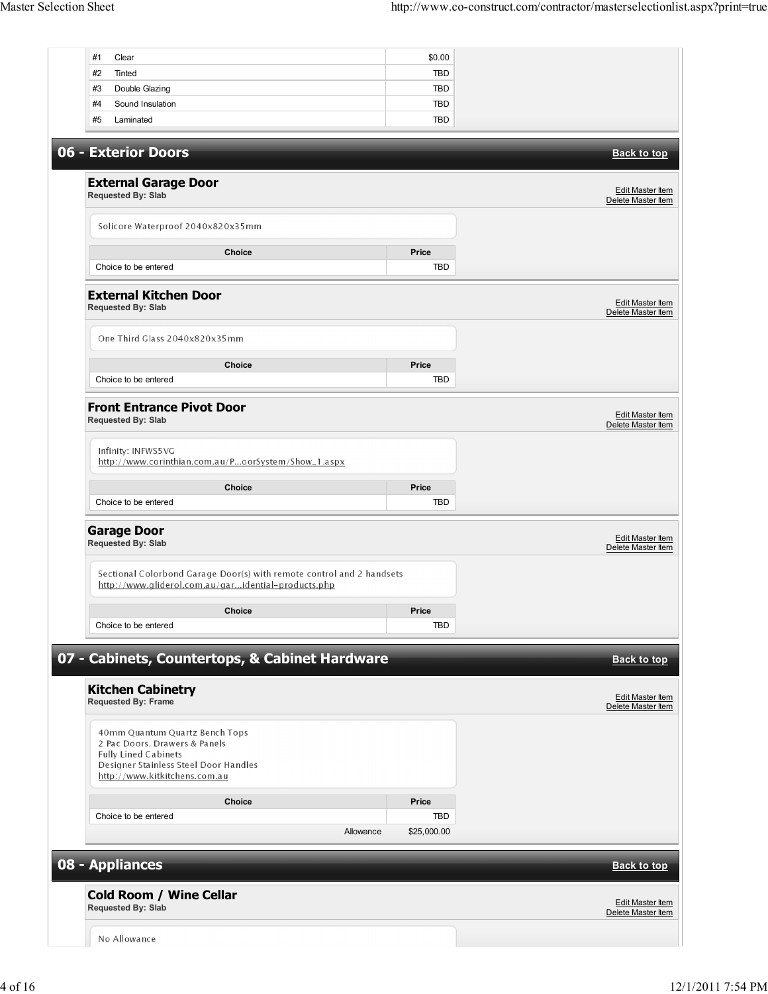| #1<br>Clear                                                                                                                  | \$0.00      |                                                              |
|------------------------------------------------------------------------------------------------------------------------------|-------------|--------------------------------------------------------------|
| #2<br>Tinted                                                                                                                 | <b>TBD</b>  |                                                              |
| #3<br>Double Glazing                                                                                                         | <b>TBD</b>  |                                                              |
| #4<br>Sound Insulation                                                                                                       | <b>TBD</b>  |                                                              |
| #5<br>Laminated                                                                                                              | <b>TBD</b>  |                                                              |
|                                                                                                                              |             |                                                              |
| 06 - Exterior Doors                                                                                                          |             | <b>Back to top</b>                                           |
|                                                                                                                              |             |                                                              |
|                                                                                                                              |             |                                                              |
| <b>External Garage Door</b>                                                                                                  |             | Edit Master Item                                             |
| Requested By: Slab                                                                                                           |             | Delete Master Item                                           |
|                                                                                                                              |             |                                                              |
| Solicore Waterproof 2040x820x35mm                                                                                            |             |                                                              |
|                                                                                                                              |             |                                                              |
| Choice                                                                                                                       | Price       |                                                              |
| Choice to be entered                                                                                                         | <b>TBD</b>  |                                                              |
|                                                                                                                              |             |                                                              |
| <b>External Kitchen Door</b>                                                                                                 |             | <b>Edit Master Item</b>                                      |
| <b>Requested By: Slab</b>                                                                                                    |             | Delete Master Item                                           |
|                                                                                                                              |             |                                                              |
| One Third Glass 2040x820x35mm                                                                                                |             |                                                              |
|                                                                                                                              |             |                                                              |
| Choice                                                                                                                       | Price       |                                                              |
| Choice to be entered                                                                                                         | <b>TBD</b>  |                                                              |
|                                                                                                                              |             |                                                              |
| <b>Front Entrance Pivot Door</b>                                                                                             |             |                                                              |
| <b>Requested By: Slab</b>                                                                                                    |             | Edit Master Item<br>Delete Master Item                       |
|                                                                                                                              |             |                                                              |
| Infinity: INFWS5VG                                                                                                           |             |                                                              |
| http://www.corinthian.com.au/PoorSystem/Show_1.aspx                                                                          |             |                                                              |
|                                                                                                                              |             |                                                              |
| Choice                                                                                                                       | Price       |                                                              |
| Choice to be entered                                                                                                         | <b>TBD</b>  |                                                              |
| <b>Garage Door</b><br>Requested By: Slab                                                                                     |             | Edit Master Item<br>Delete Master Item                       |
| Sectional Colorbond Garage Door(s) with remote control and 2 handsets<br>http://www.gliderol.com.au/garidential-products.php |             |                                                              |
|                                                                                                                              |             |                                                              |
| <b>Choice</b>                                                                                                                | Price       |                                                              |
| Choice to be entered                                                                                                         | <b>TBD</b>  |                                                              |
|                                                                                                                              |             |                                                              |
| 07 - Cabinets, Countertops, & Cabinet Hardware                                                                               |             | <b>Back to top</b>                                           |
|                                                                                                                              |             |                                                              |
| <b>Kitchen Cabinetry</b>                                                                                                     |             |                                                              |
| <b>Requested By: Frame</b>                                                                                                   |             | Edit Master Item<br>Delete Master Item                       |
|                                                                                                                              |             |                                                              |
| 40mm Quantum Quartz Bench Tops                                                                                               |             |                                                              |
| 2 Pac Doors, Drawers & Panels                                                                                                |             |                                                              |
| <b>Fully Lined Cabinets</b>                                                                                                  |             |                                                              |
| Designer Stainless Steel Door Handles<br>http://www.kitkitchens.com.au                                                       |             |                                                              |
|                                                                                                                              |             |                                                              |
| Choice                                                                                                                       | Price       |                                                              |
| Choice to be entered                                                                                                         |             |                                                              |
|                                                                                                                              | <b>TBD</b>  |                                                              |
|                                                                                                                              |             |                                                              |
| Allowance                                                                                                                    | \$25,000.00 |                                                              |
|                                                                                                                              |             |                                                              |
|                                                                                                                              |             |                                                              |
| 08 - Appliances                                                                                                              |             |                                                              |
|                                                                                                                              |             |                                                              |
| <b>Cold Room / Wine Cellar</b>                                                                                               |             |                                                              |
| <b>Requested By: Slab</b>                                                                                                    |             |                                                              |
| No Allowance                                                                                                                 |             | <b>Back to top</b><br>Edit Master Item<br>Delete Master Item |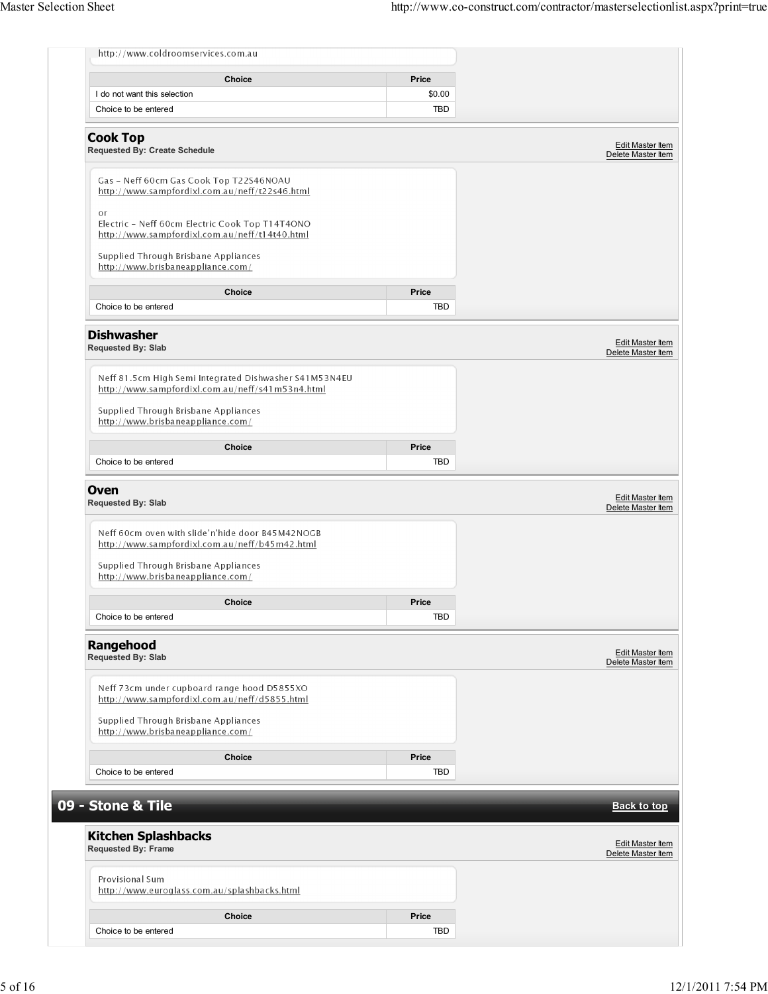| http://www.coldroomservices.com.au                                                                         |            |                                                              |
|------------------------------------------------------------------------------------------------------------|------------|--------------------------------------------------------------|
| <b>Choice</b>                                                                                              | Price      |                                                              |
| I do not want this selection                                                                               | \$0.00     |                                                              |
| Choice to be entered                                                                                       | <b>TBD</b> |                                                              |
| <b>Cook Top</b><br><b>Requested By: Create Schedule</b>                                                    |            | Edit Master Item<br>Delete Master Item                       |
| Gas - Neff 60cm Gas Cook Top T22S46NOAU                                                                    |            |                                                              |
| http://www.sampfordixl.com.au/neff/t22s46.html<br>or                                                       |            |                                                              |
| Electric - Neff 60cm Electric Cook Top T14T4ONO<br>http://www.sampfordixl.com.au/neff/t14t40.html          |            |                                                              |
| Supplied Through Brisbane Appliances<br>http://www.brisbaneappliance.com/                                  |            |                                                              |
| <b>Choice</b>                                                                                              | Price      |                                                              |
| Choice to be entered                                                                                       | TBD        |                                                              |
| <b>Dishwasher</b><br>Requested By: Slab                                                                    |            | Edit Master Item<br>Delete Master Item                       |
| Neff 81.5cm High Semi Integrated Dishwasher S41M53N4EU<br>http://www.sampfordixl.com.au/neff/s41m53n4.html |            |                                                              |
| Supplied Through Brisbane Appliances<br>http://www.brisbaneappliance.com/                                  |            |                                                              |
| Choice                                                                                                     | Price      |                                                              |
| Choice to be entered                                                                                       | <b>TBD</b> |                                                              |
| Neff 60cm oven with slide'n'hide door B45M42NOGB<br>http://www.sampfordixl.com.au/neff/b45m42.html         |            |                                                              |
|                                                                                                            |            |                                                              |
| Supplied Through Brisbane Appliances<br>http://www.brisbaneappliance.com/                                  |            |                                                              |
| Choice                                                                                                     | Price      |                                                              |
| Choice to be entered                                                                                       | <b>TBD</b> |                                                              |
| Rangehood<br><b>Requested By: Slab</b>                                                                     |            |                                                              |
| Neff 73cm under cupboard range hood D5855XO<br>http://www.sampfordixl.com.au/neff/d5855.html               |            |                                                              |
| Supplied Through Brisbane Appliances<br>http://www.brisbaneappliance.com/                                  |            |                                                              |
| <b>Choice</b>                                                                                              | Price      | Edit Master Item<br>Delete Master Item                       |
| Choice to be entered                                                                                       | TBD        |                                                              |
|                                                                                                            |            |                                                              |
| 09 - Stone & Tile                                                                                          |            |                                                              |
| <b>Kitchen Splashbacks</b><br><b>Requested By: Frame</b>                                                   |            |                                                              |
| Provisional Sum<br>http://www.euroglass.com.au/splashbacks.html                                            |            |                                                              |
| Choice                                                                                                     | Price      | <b>Back to top</b><br>Edit Master Item<br>Delete Master Item |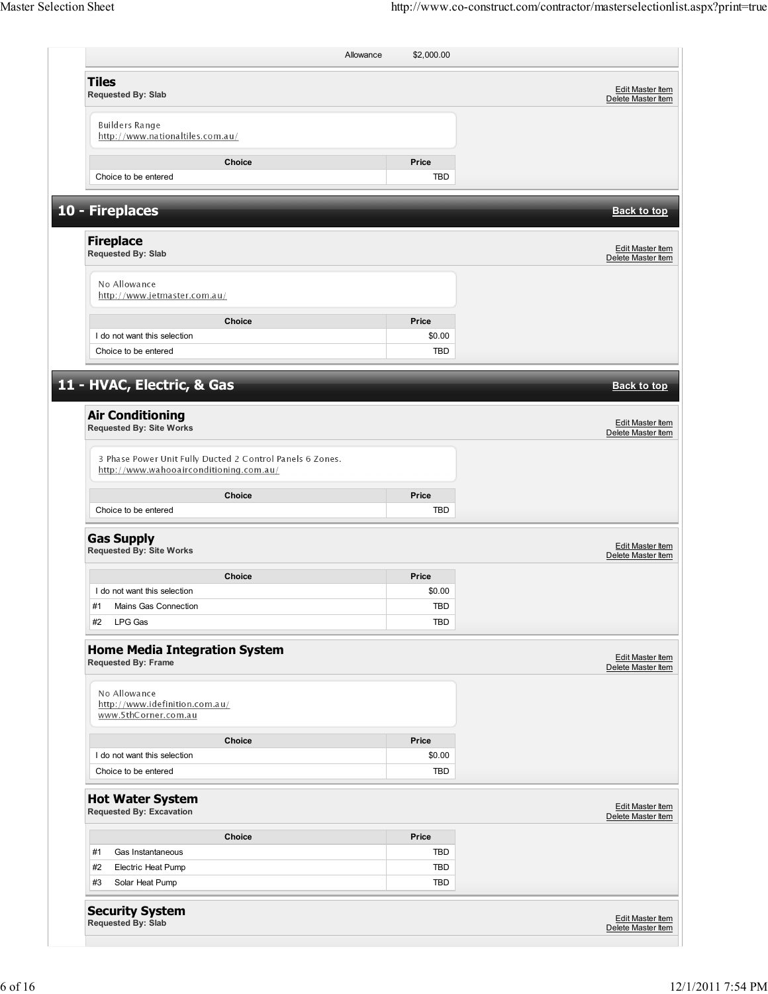| <b>Tiles</b><br>Requested By: Slab                                                                   |            | <b>Edit Master Item</b><br>Delete Master Item |
|------------------------------------------------------------------------------------------------------|------------|-----------------------------------------------|
| <b>Builders Range</b><br>http://www.nationaltiles.com.au/                                            |            |                                               |
| <b>Choice</b>                                                                                        | Price      |                                               |
| Choice to be entered                                                                                 | <b>TBD</b> |                                               |
| 10 - Fireplaces                                                                                      |            | <b>Back to top</b>                            |
| <b>Fireplace</b><br>Requested By: Slab                                                               |            | Edit Master Item<br>Delete Master Item        |
| No Allowance<br>http://www.jetmaster.com.au/                                                         |            |                                               |
| Choice                                                                                               | Price      |                                               |
| I do not want this selection                                                                         | \$0.00     |                                               |
| Choice to be entered                                                                                 | TBD        |                                               |
| 11 - HVAC, Electric, & Gas                                                                           |            | <b>Back to top</b>                            |
| <b>Air Conditioning</b><br><b>Requested By: Site Works</b>                                           |            | Edit Master Item<br>Delete Master Item        |
| 3 Phase Power Unit Fully Ducted 2 Control Panels 6 Zones.<br>http://www.wahooairconditioning.com.au/ |            |                                               |
| Choice                                                                                               | Price      |                                               |
| Choice to be entered                                                                                 | TBD        |                                               |
| <b>Gas Supply</b><br><b>Requested By: Site Works</b>                                                 |            | Edit Master Item<br>Delete Master Item        |
|                                                                                                      |            |                                               |
| <b>Choice</b>                                                                                        | Price      |                                               |
| I do not want this selection                                                                         | \$0.00     |                                               |
| #1 Mains Gas Connection                                                                              | <b>TBD</b> |                                               |
| LPG Gas<br>#2                                                                                        | TBD        |                                               |
| <b>Home Media Integration System</b><br>Requested By: Frame                                          |            |                                               |
| No Allowance<br>http://www.idefinition.com.au/<br>www.5thCorner.com.au                               |            | <b>Edit Master Item</b><br>Delete Master Item |
| Choice                                                                                               | Price      |                                               |
| I do not want this selection                                                                         | \$0.00     |                                               |
| Choice to be entered                                                                                 | TBD        |                                               |
| <b>Hot Water System</b><br><b>Requested By: Excavation</b>                                           |            |                                               |
| Choice                                                                                               | Price      | Edit Master Item<br>Delete Master Item        |
| #1<br>Gas Instantaneous                                                                              | TBD        |                                               |
| #2<br>Electric Heat Pump                                                                             | TBD        |                                               |
| Solar Heat Pump<br>#3                                                                                | TBD        |                                               |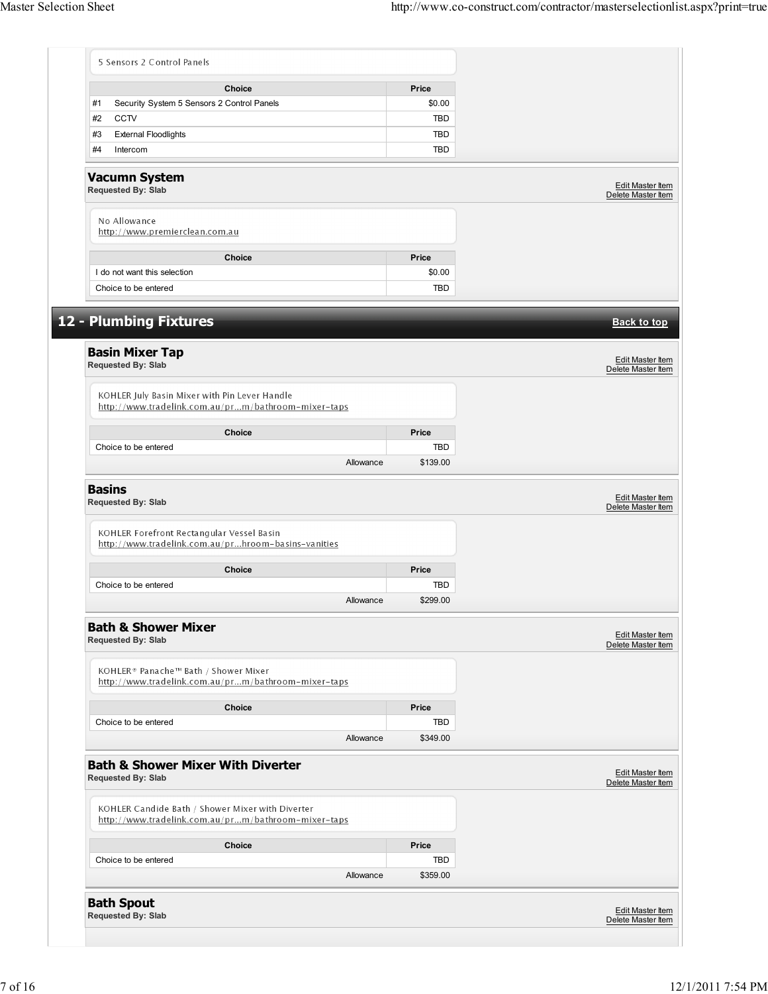|                                                                               | <b>Choice</b>                                                                                           | Price      |                                                                                         |
|-------------------------------------------------------------------------------|---------------------------------------------------------------------------------------------------------|------------|-----------------------------------------------------------------------------------------|
| #1                                                                            | Security System 5 Sensors 2 Control Panels                                                              | \$0.00     |                                                                                         |
| <b>CCTV</b><br>#2                                                             |                                                                                                         | <b>TBD</b> |                                                                                         |
| #3<br><b>External Floodlights</b>                                             |                                                                                                         | TBD        |                                                                                         |
| #4<br>Intercom                                                                |                                                                                                         | TBD        |                                                                                         |
| <b>Vacumn System</b><br>Requested By: Slab                                    |                                                                                                         |            | Edit Master Item<br>Delete Master Item                                                  |
| No Allowance<br>http://www.premierclean.com.au                                |                                                                                                         |            |                                                                                         |
|                                                                               | Choice                                                                                                  | Price      |                                                                                         |
| I do not want this selection                                                  |                                                                                                         | \$0.00     |                                                                                         |
| Choice to be entered                                                          |                                                                                                         | <b>TBD</b> |                                                                                         |
| 12 - Plumbing Fixtures<br><b>Basin Mixer Tap</b><br><b>Requested By: Slab</b> |                                                                                                         |            | <b>Back to top</b><br>Edit Master Item<br>Delete Master Item                            |
|                                                                               | KOHLER July Basin Mixer with Pin Lever Handle<br>http://www.tradelink.com.au/prm/bathroom-mixer-taps    |            |                                                                                         |
|                                                                               | Choice                                                                                                  | Price      |                                                                                         |
| Choice to be entered                                                          |                                                                                                         | TBD        |                                                                                         |
|                                                                               | Allowance                                                                                               | \$139.00   |                                                                                         |
| <b>Basins</b><br><b>Requested By: Slab</b>                                    | KOHLER Forefront Rectangular Vessel Basin                                                               |            | <b>Edit Master Item</b><br>Delete Master Item                                           |
|                                                                               |                                                                                                         |            |                                                                                         |
| http://www.tradelink.com.au/prhroom-basins-vanities                           |                                                                                                         |            |                                                                                         |
|                                                                               | <b>Choice</b>                                                                                           | Price      |                                                                                         |
| Choice to be entered                                                          |                                                                                                         | <b>TBD</b> |                                                                                         |
|                                                                               | Allowance                                                                                               | \$299.00   |                                                                                         |
| <b>Bath &amp; Shower Mixer</b><br><b>Requested By: Slab</b>                   |                                                                                                         |            |                                                                                         |
| KOHLER® Panache™ Bath / Shower Mixer                                          | http://www.tradelink.com.au/prm/bathroom-mixer-taps                                                     |            |                                                                                         |
|                                                                               | <b>Choice</b>                                                                                           | Price      |                                                                                         |
| Choice to be entered                                                          |                                                                                                         | TBD        |                                                                                         |
|                                                                               | Allowance                                                                                               | \$349.00   |                                                                                         |
| Requested By: Slab                                                            | <b>Bath &amp; Shower Mixer With Diverter</b>                                                            |            |                                                                                         |
|                                                                               | KOHLER Candide Bath / Shower Mixer with Diverter<br>http://www.tradelink.com.au/prm/bathroom-mixer-taps |            |                                                                                         |
|                                                                               | <b>Choice</b>                                                                                           | Price      |                                                                                         |
| Choice to be entered                                                          |                                                                                                         | TBD        |                                                                                         |
|                                                                               | Allowance                                                                                               | \$359.00   | <b>Edit Master Item</b><br>Delete Master Item<br>Edit Master Item<br>Delete Master Item |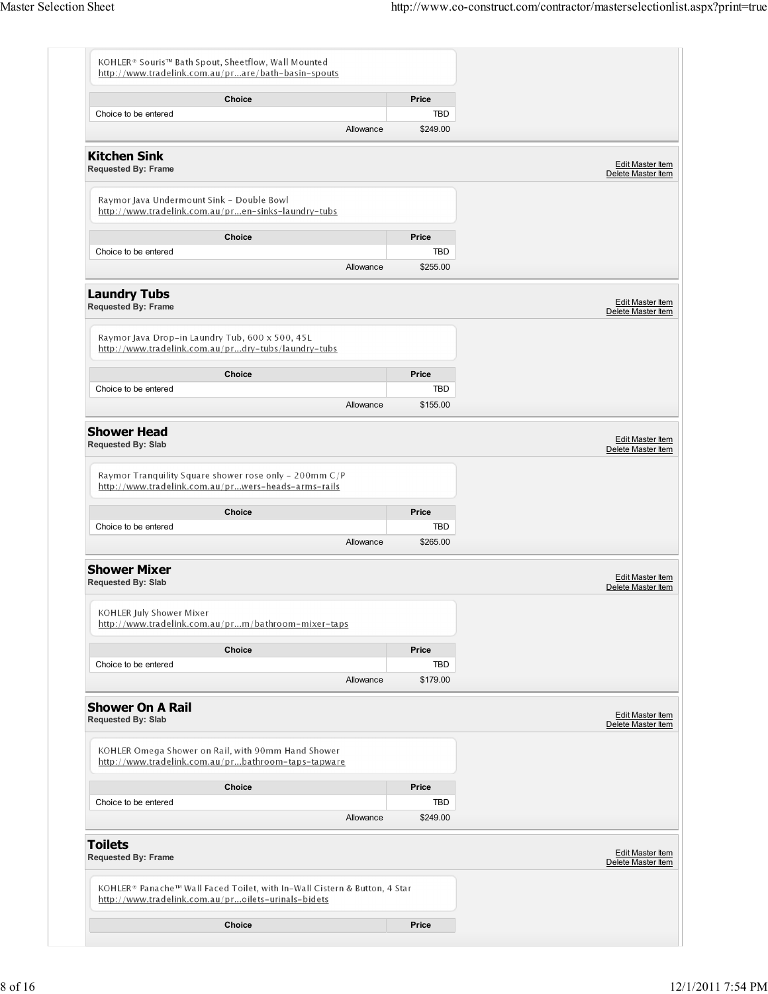| http://www.tradelink.com.au/prare/bath-basin-spouts                                                                              |          |                                               |
|----------------------------------------------------------------------------------------------------------------------------------|----------|-----------------------------------------------|
| Choice                                                                                                                           | Price    |                                               |
| Choice to be entered                                                                                                             | TBD      |                                               |
| Allowance                                                                                                                        | \$249.00 |                                               |
| <b>Kitchen Sink</b><br><b>Requested By: Frame</b>                                                                                |          | Edit Master Item<br>Delete Master Item        |
| Raymor Java Undermount Sink - Double Bowl<br>http://www.tradelink.com.au/pren-sinks-laundry-tubs                                 |          |                                               |
| <b>Choice</b>                                                                                                                    | Price    |                                               |
| Choice to be entered                                                                                                             | TBD      |                                               |
| Allowance                                                                                                                        | \$255.00 |                                               |
| <b>Laundry Tubs</b><br>Requested By: Frame                                                                                       |          | Edit Master Item<br>Delete Master Item        |
| Raymor Java Drop-in Laundry Tub, 600 x 500, 45L<br>http://www.tradelink.com.au/prdry-tubs/laundry-tubs                           |          |                                               |
| Choice                                                                                                                           | Price    |                                               |
| Choice to be entered                                                                                                             | TBD      |                                               |
| Allowance                                                                                                                        | \$155.00 |                                               |
| <b>Shower Head</b><br>Requested By: Slab                                                                                         |          | Edit Master Item<br>Delete Master Item        |
| Raymor Tranquility Square shower rose only - 200mm C/P<br>http://www.tradelink.com.au/prwers-heads-arms-rails                    |          |                                               |
|                                                                                                                                  |          |                                               |
| <b>Choice</b>                                                                                                                    | Price    |                                               |
| Choice to be entered                                                                                                             | TBD      |                                               |
| Allowance                                                                                                                        | \$265.00 |                                               |
| <b>Shower Mixer</b><br>Requested By: Slab                                                                                        |          | Edit Master Item<br>Delete Master Item        |
| KOHLER July Shower Mixer<br>http://www.tradelink.com.au/prm/bathroom-mixer-taps                                                  |          |                                               |
| Choice                                                                                                                           | Price    |                                               |
| Choice to be entered                                                                                                             | TBD      |                                               |
| Allowance                                                                                                                        | \$179.00 |                                               |
| <b>Shower On A Rail</b><br>Requested By: Slab                                                                                    |          | Edit Master Item<br>Delete Master Item        |
| KOHLER Omega Shower on Rail, with 90mm Hand Shower<br>http://www.tradelink.com.au/prbathroom-taps-tapware                        |          |                                               |
| Choice                                                                                                                           | Price    |                                               |
| Choice to be entered                                                                                                             | TBD      |                                               |
| Allowance                                                                                                                        | \$249.00 |                                               |
| <b>Toilets</b><br><b>Requested By: Frame</b>                                                                                     |          | <b>Edit Master Item</b><br>Delete Master Item |
| KOHLER® Panache™ Wall Faced Toilet, with In-Wall Cistern & Button, 4 Star<br>http://www.tradelink.com.au/proilets-urinals-bidets |          |                                               |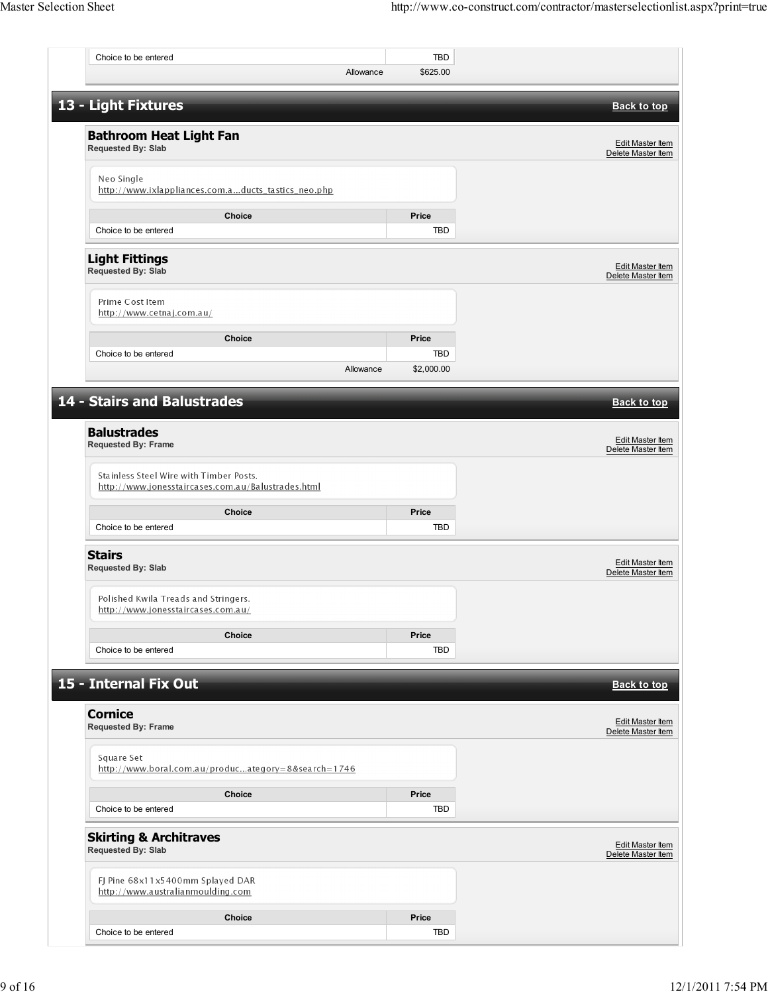| Choice to be entered                                                                          |           | <b>TBD</b>        |                                               |
|-----------------------------------------------------------------------------------------------|-----------|-------------------|-----------------------------------------------|
|                                                                                               | Allowance | \$625.00          |                                               |
| 13 - Light Fixtures                                                                           |           |                   | <b>Back to top</b>                            |
| <b>Bathroom Heat Light Fan</b><br>Requested By: Slab                                          |           |                   | <b>Edit Master Item</b><br>Delete Master Item |
| Neo Single<br>http://www.ixlappliances.com.aducts_tastics_neo.php                             |           |                   |                                               |
| Choice<br>Choice to be entered                                                                |           | Price<br>TBD      |                                               |
| <b>Light Fittings</b><br>Requested By: Slab                                                   |           |                   | <b>Edit Master Item</b><br>Delete Master Item |
| Prime Cost Item<br>http://www.cetnaj.com.au/                                                  |           |                   |                                               |
| <b>Choice</b>                                                                                 |           | Price             |                                               |
| Choice to be entered                                                                          | Allowance | TBD<br>\$2,000.00 |                                               |
|                                                                                               |           |                   |                                               |
| <b>14 - Stairs and Balustrades</b>                                                            |           |                   | <b>Back to top</b>                            |
| <b>Balustrades</b><br>Requested By: Frame                                                     |           |                   | Edit Master Item<br>Delete Master Item        |
| Stainless Steel Wire with Timber Posts.<br>http://www.jonesstaircases.com.au/Balustrades.html |           |                   |                                               |
| Choice<br>Choice to be entered                                                                |           | Price<br>TBD      |                                               |
| <b>Stairs</b><br>Requested By: Slab                                                           |           |                   | Edit Master Item<br>Delete Master Item        |
| Polished Kwila Treads and Stringers.<br><u> http://www.jonesstaircases.com.au/</u>            |           |                   |                                               |
| Choice                                                                                        |           | Price             |                                               |
| Choice to be entered                                                                          |           | TBD               |                                               |
| 15 - Internal Fix Out                                                                         |           |                   | <b>Back to top</b>                            |
| <b>Cornice</b><br><b>Requested By: Frame</b>                                                  |           |                   | Edit Master Item<br>Delete Master Item        |
| Square Set<br>http://www.boral.com.au/producategory=8&search=1746                             |           |                   |                                               |
| Choice                                                                                        |           | Price             |                                               |
| Choice to be entered                                                                          |           | TBD               |                                               |
| <b>Skirting &amp; Architraves</b><br>Requested By: Slab                                       |           |                   | Edit Master Item<br>Delete Master Item        |
| FJ Pine 68x11x5400mm Splayed DAR<br>http://www.australianmoulding.com                         |           |                   |                                               |
|                                                                                               |           |                   |                                               |
| Choice                                                                                        |           | Price             |                                               |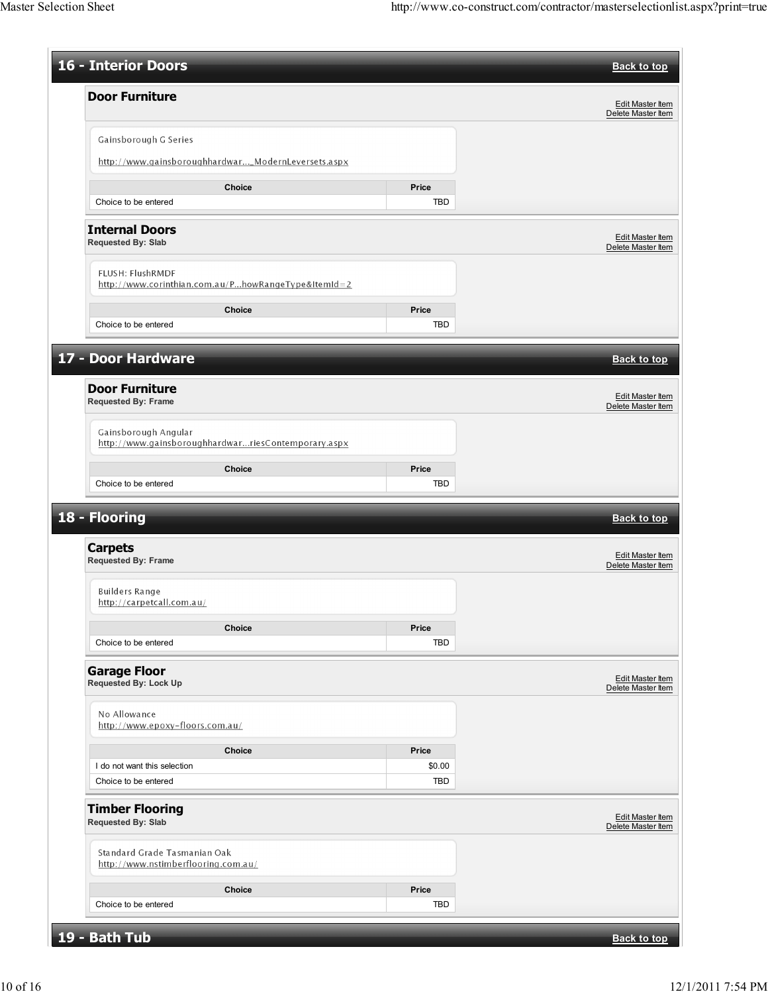| 16 - Interior Doors                                                     |        | <b>Back to top</b>                            |
|-------------------------------------------------------------------------|--------|-----------------------------------------------|
| <b>Door Furniture</b>                                                   |        |                                               |
|                                                                         |        | Edit Master Item<br>Delete Master Item        |
| Gainsborough G Series                                                   |        |                                               |
| http://www.gainsboroughhardwar_ModernLeversets.aspx                     |        |                                               |
| Choice                                                                  | Price  |                                               |
| Choice to be entered                                                    | TBD    |                                               |
| <b>Internal Doors</b><br><b>Requested By: Slab</b>                      |        | Edit Master Item<br>Delete Master Item        |
| FLUSH: FlushRMDF<br>http://www.corinthian.com.au/PhowRangeType&ItemId=2 |        |                                               |
| Choice                                                                  | Price  |                                               |
| Choice to be entered                                                    | TBD    |                                               |
| 17 - Door Hardware                                                      |        | <b>Back to top</b>                            |
|                                                                         |        |                                               |
| <b>Door Furniture</b><br>Requested By: Frame                            |        | Edit Master Item<br>Delete Master Item        |
| Gainsborough Angular                                                    |        |                                               |
| http://www.gainsboroughhardwarriesContemporary.aspx                     |        |                                               |
| Choice                                                                  | Price  |                                               |
| Choice to be entered                                                    | TBD    |                                               |
| 18 - Flooring                                                           |        | <b>Back to top</b>                            |
| <b>Carpets</b><br><b>Requested By: Frame</b>                            |        | <b>Edit Master Item</b><br>Delete Master Item |
| Builders Range<br>http://carpetcall.com.au/                             |        |                                               |
| Choice                                                                  | Price  |                                               |
| Choice to be entered                                                    | TBD    |                                               |
| <b>Garage Floor</b><br>Requested By: Lock Up                            |        | Edit Master Item<br>Delete Master Item        |
| No Allowance<br>http://www.epoxy-floors.com.au/                         |        |                                               |
| Choice                                                                  | Price  |                                               |
| I do not want this selection                                            | \$0.00 |                                               |
| Choice to be entered                                                    | TBD    |                                               |
| <b>Timber Flooring</b><br><b>Requested By: Slab</b>                     |        | Edit Master Item<br>Delete Master Item        |
| Standard Grade Tasmanian Oak<br>http://www.nstimberflooring.com.au/     |        |                                               |
| Choice                                                                  | Price  |                                               |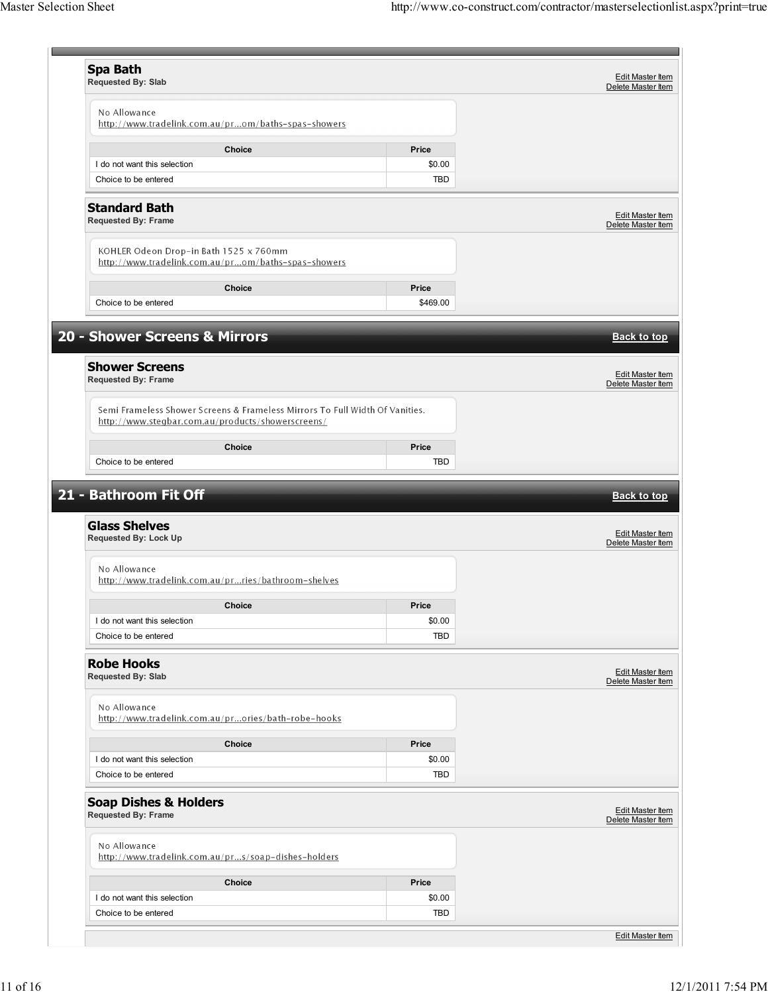| <b>Spa Bath</b>                                                              |                      | <b>Edit Master Item</b>                                             |
|------------------------------------------------------------------------------|----------------------|---------------------------------------------------------------------|
| Requested By: Slab                                                           |                      | Delete Master Item                                                  |
|                                                                              |                      |                                                                     |
| No Allowance                                                                 |                      |                                                                     |
| http://www.tradelink.com.au/prom/baths-spas-showers                          |                      |                                                                     |
| Choice                                                                       | Price                |                                                                     |
| I do not want this selection                                                 | \$0.00               |                                                                     |
| Choice to be entered                                                         | <b>TBD</b>           |                                                                     |
|                                                                              |                      |                                                                     |
| <b>Standard Bath</b>                                                         |                      |                                                                     |
| <b>Requested By: Frame</b>                                                   |                      | Edit Master Item<br>Delete Master Item                              |
|                                                                              |                      |                                                                     |
| KOHLER Odeon Drop-in Bath 1525 x 760mm                                       |                      |                                                                     |
| http://www.tradelink.com.au/prom/baths-spas-showers                          |                      |                                                                     |
|                                                                              |                      |                                                                     |
| Choice                                                                       | Price                |                                                                     |
| Choice to be entered                                                         | \$469.00             |                                                                     |
|                                                                              |                      |                                                                     |
| 20 - Shower Screens & Mirrors                                                |                      | <b>Back to top</b>                                                  |
|                                                                              |                      |                                                                     |
| <b>Shower Screens</b>                                                        |                      |                                                                     |
| <b>Requested By: Frame</b>                                                   |                      | <b>Edit Master Item</b><br>Delete Master Item                       |
|                                                                              |                      |                                                                     |
| Semi Frameless Shower Screens & Frameless Mirrors To Full Width Of Vanities. |                      |                                                                     |
| http://www.stegbar.com.au/products/showerscreens/                            |                      |                                                                     |
|                                                                              |                      |                                                                     |
| <b>Choice</b>                                                                | Price                |                                                                     |
| Choice to be entered                                                         | TBD                  |                                                                     |
| 21 - Bathroom Fit Off                                                        |                      |                                                                     |
| <b>Glass Shelves</b>                                                         |                      |                                                                     |
| <b>Requested By: Lock Up</b>                                                 |                      |                                                                     |
|                                                                              |                      |                                                                     |
| No Allowance                                                                 |                      |                                                                     |
| http://www.tradelink.com.au/prries/bathroom-shelves                          |                      |                                                                     |
|                                                                              |                      |                                                                     |
| Choice                                                                       | Price                | <b>Back to top</b><br><b>Edit Master Item</b><br>Delete Master Item |
| I do not want this selection                                                 | \$0.00               |                                                                     |
| Choice to be entered                                                         | <b>TBD</b>           |                                                                     |
|                                                                              |                      |                                                                     |
| <b>Robe Hooks</b><br>Requested By: Slab                                      |                      |                                                                     |
|                                                                              |                      | <b>Edit Master Item</b><br>Delete Master Item                       |
| No Allowance                                                                 |                      |                                                                     |
| http://www.tradelink.com.au/prories/bath-robe-hooks                          |                      |                                                                     |
|                                                                              |                      |                                                                     |
| Choice                                                                       | Price                |                                                                     |
| I do not want this selection                                                 | \$0.00               |                                                                     |
| Choice to be entered                                                         | TBD                  |                                                                     |
|                                                                              |                      |                                                                     |
| <b>Soap Dishes &amp; Holders</b>                                             |                      | Edit Master Item                                                    |
| <b>Requested By: Frame</b>                                                   |                      | Delete Master Item                                                  |
|                                                                              |                      |                                                                     |
| No Allowance                                                                 |                      |                                                                     |
| http://www.tradelink.com.au/prs/soap-dishes-holders                          |                      |                                                                     |
| Choice                                                                       | Price                |                                                                     |
| I do not want this selection                                                 |                      |                                                                     |
| Choice to be entered                                                         | \$0.00<br><b>TBD</b> |                                                                     |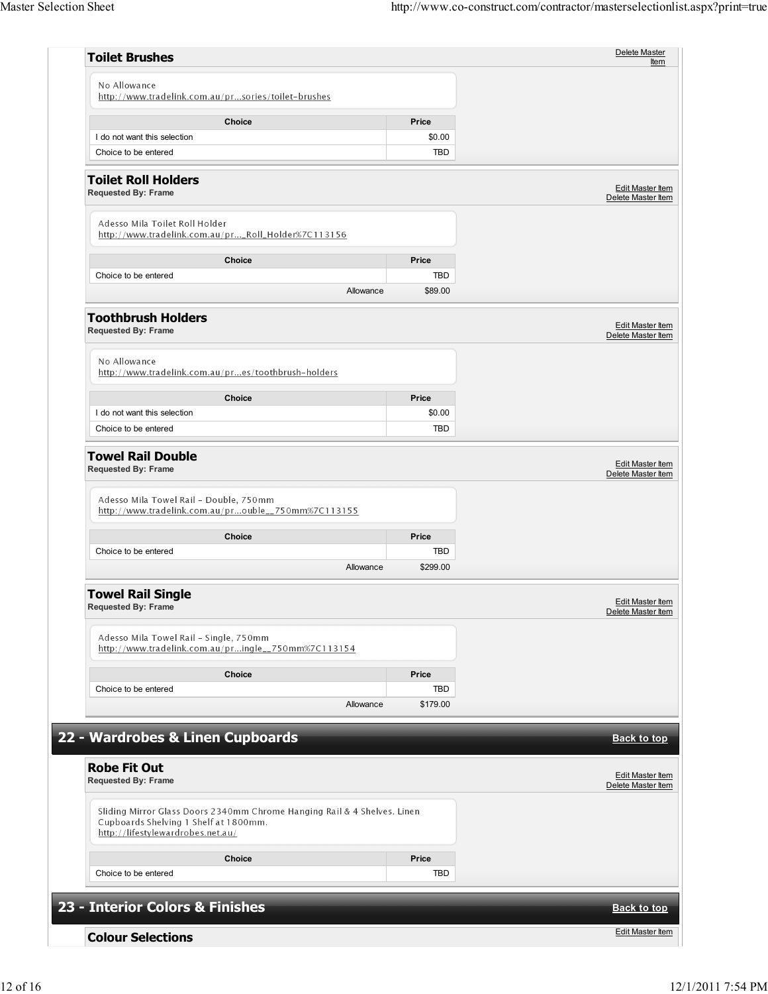| <b>Toilet Brushes</b>                                                                                                                                  |                 | Delete Master<br><b>Item</b>                  |
|--------------------------------------------------------------------------------------------------------------------------------------------------------|-----------------|-----------------------------------------------|
| No Allowance<br>http://www.tradelink.com.au/prsories/toilet-brushes                                                                                    |                 |                                               |
| Choice                                                                                                                                                 | Price           |                                               |
| I do not want this selection                                                                                                                           | \$0.00          |                                               |
| Choice to be entered                                                                                                                                   | TBD             |                                               |
| <b>Toilet Roll Holders</b><br><b>Requested By: Frame</b>                                                                                               |                 | Edit Master Item<br>Delete Master Item        |
| Adesso Mila Toilet Roll Holder<br>http://www.tradelink.com.au/pr_Roll_Holder%7C113156                                                                  |                 |                                               |
| Choice                                                                                                                                                 | Price           |                                               |
| Choice to be entered                                                                                                                                   | TBD             |                                               |
| Allowance                                                                                                                                              | \$89.00         |                                               |
| <b>Toothbrush Holders</b><br><b>Requested By: Frame</b>                                                                                                |                 | Edit Master Item<br>Delete Master Item        |
| No Allowance<br>http://www.tradelink.com.au/pres/toothbrush-holders                                                                                    |                 |                                               |
| Choice                                                                                                                                                 | Price           |                                               |
| I do not want this selection                                                                                                                           | \$0.00          |                                               |
| Choice to be entered                                                                                                                                   | TBD             |                                               |
| Adesso Mila Towel Rail - Double, 750mm<br>http://www.tradelink.com.au/prouble_750mm%7C113155                                                           |                 |                                               |
| Choice                                                                                                                                                 | Price           |                                               |
| Choice to be entered<br>Allowance                                                                                                                      | TBD<br>\$299.00 |                                               |
| <b>Towel Rail Single</b><br><b>Requested By: Frame</b>                                                                                                 |                 | <b>Edit Master Item</b><br>Delete Master Item |
| Adesso Mila Towel Rail - Single, 750mm<br>http://www.tradelink.com.au/pringle__750mm%7C113154                                                          |                 |                                               |
| Choice                                                                                                                                                 | Price           |                                               |
| Choice to be entered                                                                                                                                   | TBD             |                                               |
| Allowance                                                                                                                                              | \$179.00        |                                               |
| 22 - Wardrobes & Linen Cupboards                                                                                                                       |                 | <b>Back to top</b>                            |
| <b>Robe Fit Out</b><br><b>Requested By: Frame</b>                                                                                                      |                 | Edit Master Item<br>Delete Master Item        |
| Sliding Mirror Glass Doors 2340mm Chrome Hanging Rail & 4 Shelves. Linen<br>Cupboards Shelving 1 Shelf at 1800mm.<br>http://lifestylewardrobes.net.au/ |                 |                                               |
| <b>Choice</b>                                                                                                                                          | Price           |                                               |
| Choice to be entered                                                                                                                                   | TBD             |                                               |
| 23 - Interior Colors & Finishes                                                                                                                        |                 | <b>Back to top</b>                            |
|                                                                                                                                                        |                 | <b>Edit Master Item</b>                       |
| <b>Colour Selections</b>                                                                                                                               |                 |                                               |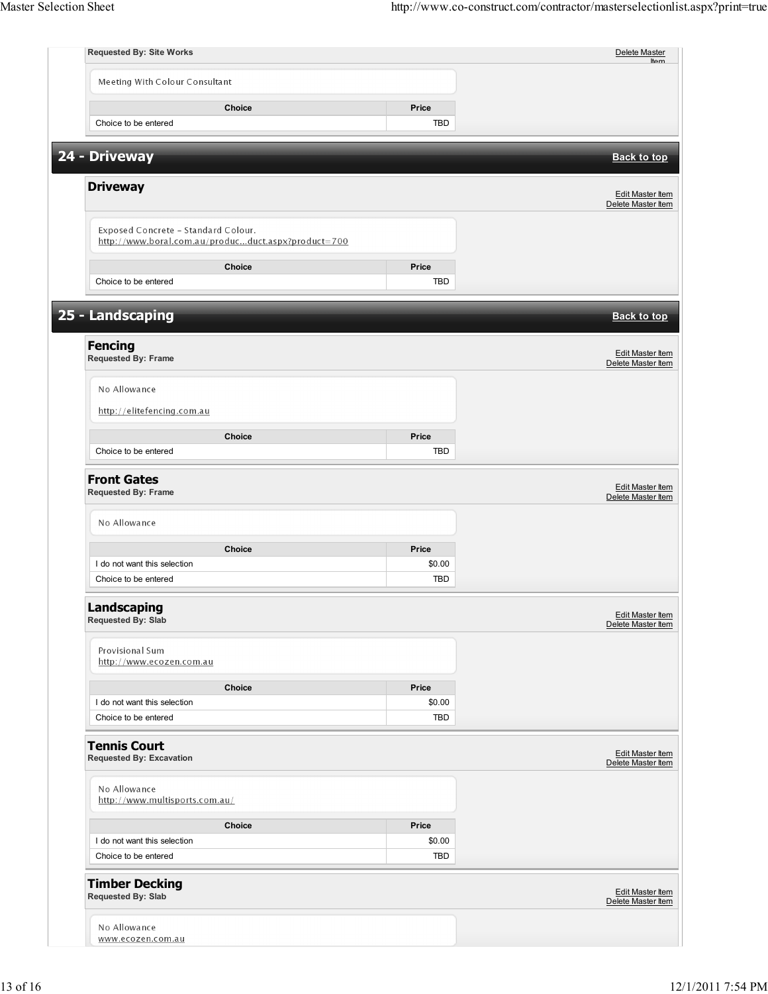| <b>Requested By: Site Works</b>                                                            |            | Delete Master<br>H <sub>on</sub>              |
|--------------------------------------------------------------------------------------------|------------|-----------------------------------------------|
| Meeting With Colour Consultant                                                             |            |                                               |
| <b>Choice</b>                                                                              | Price      |                                               |
| Choice to be entered                                                                       | TBD        |                                               |
| 24 - Driveway                                                                              |            |                                               |
|                                                                                            |            | <b>Back to top</b>                            |
| <b>Driveway</b>                                                                            |            | Edit Master Item<br>Delete Master Item        |
| Exposed Concrete - Standard Colour.<br>http://www.boral.com.au/producduct.aspx?product=700 |            |                                               |
| Choice                                                                                     | Price      |                                               |
| Choice to be entered                                                                       | TBD        |                                               |
|                                                                                            |            |                                               |
| 25 - Landscaping                                                                           |            | <b>Back to top</b>                            |
| <b>Fencing</b><br>Requested By: Frame                                                      |            | <b>Edit Master Item</b><br>Delete Master Item |
| No Allowance                                                                               |            |                                               |
| http://elitefencing.com.au                                                                 |            |                                               |
| Choice                                                                                     | Price      |                                               |
| Choice to be entered                                                                       | TBD        |                                               |
| Requested By: Frame<br>No Allowance                                                        |            | Delete Master Item                            |
| Choice                                                                                     | Price      |                                               |
| I do not want this selection                                                               | \$0.00     |                                               |
| Choice to be entered                                                                       | TBD        |                                               |
| Landscaping<br>Requested By: Slab                                                          |            | <b>Edit Master Item</b><br>Delete Master Item |
| Provisional Sum<br>http://www.ecozen.com.au                                                |            |                                               |
| Choice                                                                                     | Price      |                                               |
| I do not want this selection                                                               | \$0.00     |                                               |
| Choice to be entered                                                                       | TBD        |                                               |
| <b>Tennis Court</b><br><b>Requested By: Excavation</b>                                     |            | Edit Master Item<br>Delete Master Item        |
| No Allowance<br>http://www.multisports.com.au/                                             |            |                                               |
| Choice                                                                                     | Price      |                                               |
| I do not want this selection                                                               | \$0.00     |                                               |
| Choice to be entered                                                                       | <b>TBD</b> |                                               |
| <b>Timber Decking</b><br>Requested By: Slab                                                |            | Edit Master Item<br>Delete Master Item        |
| No Allowance<br>www.ecozen.com.au                                                          |            |                                               |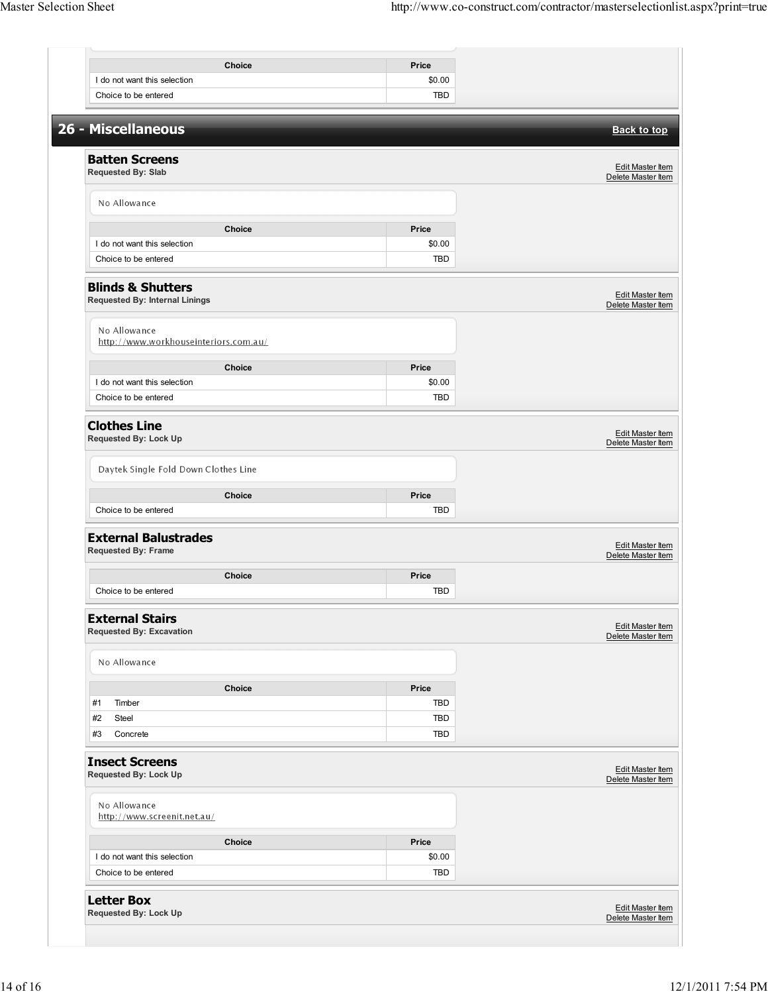|                                                                | Choice        | Price                |                                               |
|----------------------------------------------------------------|---------------|----------------------|-----------------------------------------------|
| I do not want this selection                                   |               | \$0.00               |                                               |
| Choice to be entered                                           |               | TBD                  |                                               |
| 26 - Miscellaneous                                             |               |                      | <b>Back to top</b>                            |
| <b>Batten Screens</b>                                          |               |                      |                                               |
| Requested By: Slab                                             |               |                      | <b>Edit Master Item</b><br>Delete Master Item |
| No Allowance                                                   |               |                      |                                               |
|                                                                | Choice        | Price                |                                               |
| I do not want this selection                                   |               | \$0.00               |                                               |
| Choice to be entered                                           |               | <b>TBD</b>           |                                               |
| <b>Blinds &amp; Shutters</b><br>Requested By: Internal Linings |               |                      | Edit Master Item<br>Delete Master Item        |
| No Allowance<br>http://www.workhouseinteriors.com.au/          |               |                      |                                               |
|                                                                |               |                      |                                               |
|                                                                | Choice        | Price                |                                               |
| I do not want this selection<br>Choice to be entered           |               | \$0.00<br><b>TBD</b> |                                               |
|                                                                |               |                      |                                               |
| <b>Clothes Line</b><br>Requested By: Lock Up                   |               |                      | Edit Master Item<br>Delete Master Item        |
| Daytek Single Fold Down Clothes Line                           |               |                      |                                               |
|                                                                | Choice        | Price                |                                               |
| Choice to be entered                                           |               | TBD                  |                                               |
| <b>External Balustrades</b><br><b>Requested By: Frame</b>      |               |                      | <b>Edit Master Item</b><br>Delete Master Item |
|                                                                | <b>Choice</b> | Price                |                                               |
| Choice to be entered                                           |               | <b>TBD</b>           |                                               |
| <b>External Stairs</b><br><b>Requested By: Excavation</b>      |               |                      | Edit Master Item<br>Delete Master Item        |
| No Allowance                                                   |               |                      |                                               |
|                                                                | Choice        | Price                |                                               |
|                                                                |               |                      |                                               |
| #1<br>Timber                                                   |               | TBD                  |                                               |
| #2<br>Steel                                                    |               | TBD                  |                                               |
| #3<br>Concrete                                                 |               | TBD                  |                                               |
| <b>Insect Screens</b><br><b>Requested By: Lock Up</b>          |               |                      |                                               |
| No Allowance<br>http://www.screenit.net.au/                    |               |                      | <b>Edit Master Item</b><br>Delete Master Item |
|                                                                | Choice        | Price                |                                               |
| I do not want this selection                                   |               | \$0.00               |                                               |
| Choice to be entered                                           |               | <b>TBD</b>           |                                               |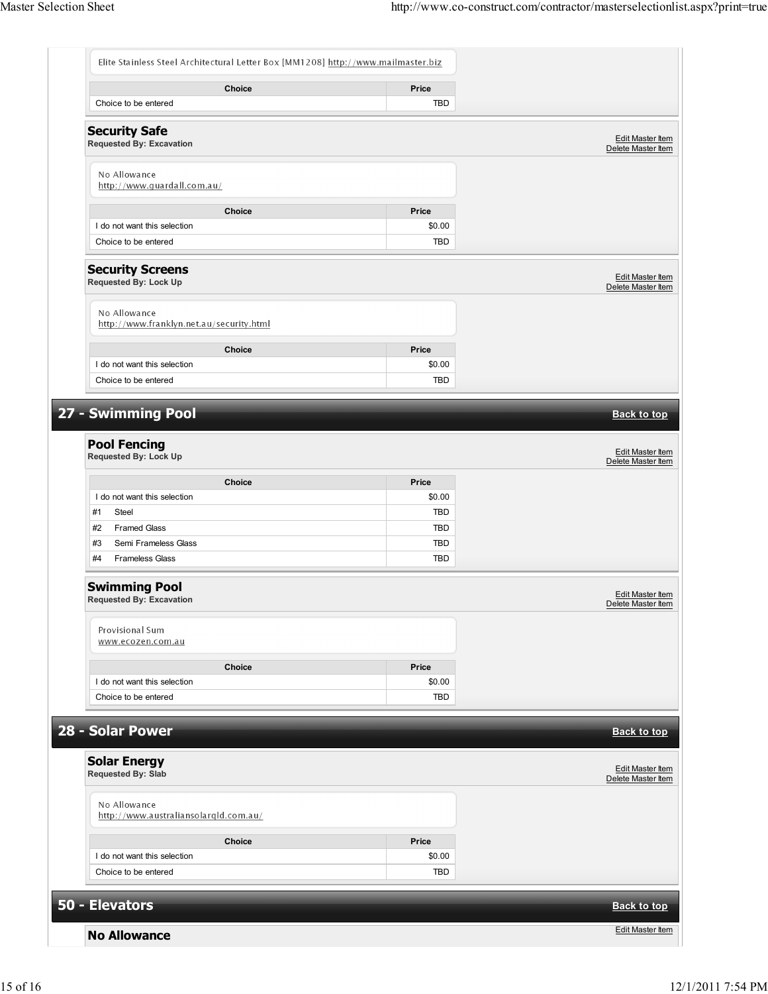| Elite Stainless Steel Architectural Letter Box [MM1208] http://www.mailmaster.biz |                          |                                               |
|-----------------------------------------------------------------------------------|--------------------------|-----------------------------------------------|
| Choice<br>Choice to be entered                                                    | Price<br><b>TBD</b>      |                                               |
| <b>Security Safe</b><br>Requested By: Excavation                                  |                          | <b>Edit Master Item</b><br>Delete Master Item |
| No Allowance<br>http://www.guardall.com.au/                                       |                          |                                               |
|                                                                                   |                          |                                               |
| Choice                                                                            | Price                    |                                               |
| I do not want this selection<br>Choice to be entered                              | \$0.00<br><b>TBD</b>     |                                               |
|                                                                                   |                          |                                               |
| <b>Security Screens</b><br>Requested By: Lock Up                                  |                          | Edit Master Item<br>Delete Master Item        |
| No Allowance<br>http://www.franklyn.net.au/security.html                          |                          |                                               |
|                                                                                   |                          |                                               |
| Choice<br>I do not want this selection                                            | Price<br>\$0.00          |                                               |
| Choice to be entered                                                              | TBD                      |                                               |
|                                                                                   |                          |                                               |
| 27 - Swimming Pool                                                                |                          | <b>Back to top</b>                            |
|                                                                                   |                          |                                               |
| <b>Pool Fencing</b><br>Requested By: Lock Up                                      |                          | Edit Master Item<br>Delete Master Item        |
| Choice                                                                            | Price                    |                                               |
| I do not want this selection                                                      | \$0.00                   |                                               |
| #1<br>Steel                                                                       | TBD                      |                                               |
| #2<br><b>Framed Glass</b><br>#3<br>Semi Frameless Glass                           | <b>TBD</b><br><b>TBD</b> |                                               |
| #4<br><b>Frameless Glass</b>                                                      | TBD                      |                                               |
|                                                                                   |                          |                                               |
| <b>Swimming Pool</b><br>Requested By: Excavation                                  |                          | Edit Master Item<br>Delete Master Item        |
| Provisional Sum<br>www.ecozen.com.au                                              |                          |                                               |
| <b>Choice</b>                                                                     | Price                    |                                               |
| I do not want this selection                                                      | \$0.00                   |                                               |
| Choice to be entered                                                              | <b>TBD</b>               |                                               |
|                                                                                   |                          |                                               |
| 28 - Solar Power                                                                  |                          | <b>Back to top</b>                            |
| <b>Solar Energy</b><br><b>Requested By: Slab</b>                                  |                          | <b>Edit Master Item</b><br>Delete Master Item |
| No Allowance<br>http://www.australiansolarqld.com.au/                             |                          |                                               |
| Choice                                                                            | Price                    |                                               |
| I do not want this selection                                                      | \$0.00                   |                                               |
| Choice to be entered                                                              | <b>TBD</b>               |                                               |
| 50 - Elevators                                                                    |                          | <b>Back to top</b>                            |
|                                                                                   |                          |                                               |
| <b>No Allowance</b>                                                               |                          | Edit Master Item                              |